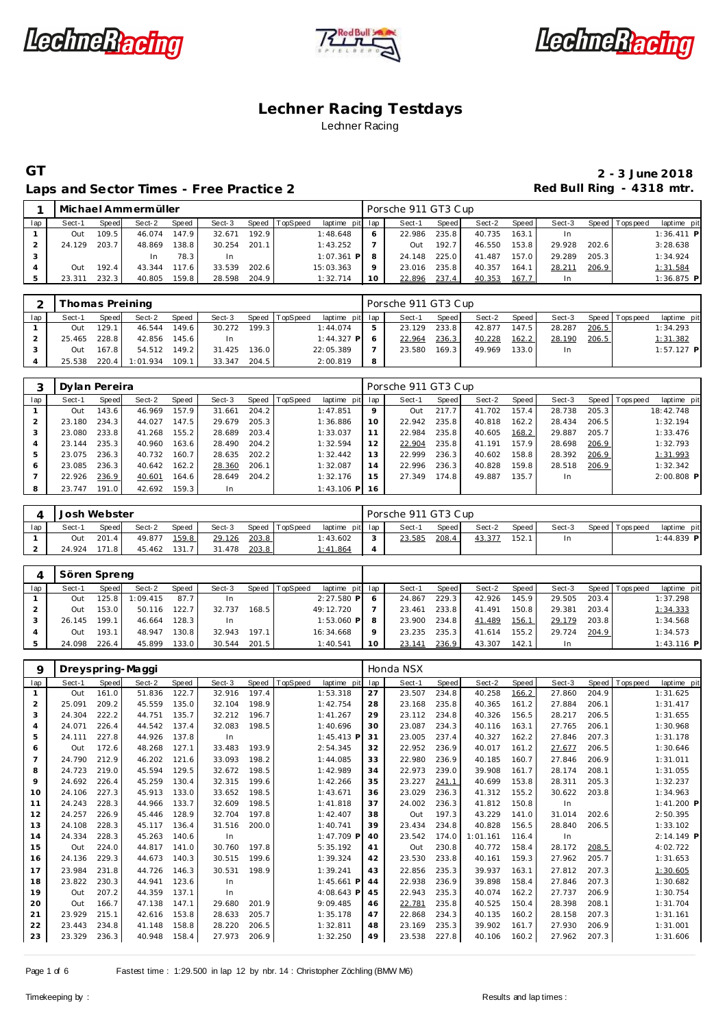





#### Laps and Sector Times - Free Practice 2 **Access 2 Red Bull Ring - 4318 mtr.**

|     |        |       | Michael Ammermüller |                    |           |       |          |                 |         | Porsche 911 GT3 Cup |       |        |       |        |       |                 |              |
|-----|--------|-------|---------------------|--------------------|-----------|-------|----------|-----------------|---------|---------------------|-------|--------|-------|--------|-------|-----------------|--------------|
| lap | Sect-1 | Speed | Sect-2              | Speed              | Sect-3    | Speed | TopSpeed | laptime pit lap |         | Sect-1              | Speed | Sect-2 | Speed | Sect-3 |       | Speed Tops peed | laptime pit  |
|     | Out    | 109.5 | 46.074              | 147.9              | 32.671    | 192.9 |          | 1:48.648        |         | 22.986              | 235.8 | 40.735 | 163.1 |        |       |                 | $1:36.411$ P |
|     | 24.129 | 203.7 | 48.869              | 138.8              | 30.254    | 201.1 |          | 1:43.252        |         | TuO                 | 192.7 | 46.550 | 153.8 | 29.928 | 202.6 |                 | 3:28.638     |
|     |        |       | In                  | 78.3               | <b>In</b> |       |          | $1:07.361$ P    |         | 24.148              | 225.0 | 41.487 | 157.0 | 29.289 | 205.3 |                 | 1:34.924     |
|     | Out    | 192.4 | 43.344              | 117.6 <sub>1</sub> | 33.539    | 202.6 |          | 15:03.363       | $\circ$ | 23.016              | 235.8 | 40.357 | 164.1 | 28.211 | 206.9 |                 | 1:31.584     |
|     | 3.311  | 232.3 | 40.805              | 159.8              | 28.598    | 204.9 |          | 1:32.714        | 10      | 22.896              | 237.4 | 40.353 | 167.7 |        |       |                 | $1:36.875$ P |

|     |            |       | Thomas Preining |       |        |       |                |                 |   | Porsche 911 GT3 Cup |         |        |         |        |       |                 |              |
|-----|------------|-------|-----------------|-------|--------|-------|----------------|-----------------|---|---------------------|---------|--------|---------|--------|-------|-----------------|--------------|
| lap | Sect-1     | Speed | Sect-2          | Speed | Sect-3 |       | Speed TopSpeed | laptime pit lap |   | Sect-1              | Speed I | Sect-2 | Speed I | Sect-3 |       | Speed Tops peed | laptime pit  |
|     | Out        | 129.1 | 46.544          | 149.6 | 30.272 | 199.3 |                | 1:44.074        |   | 23.129              | 233.8   | 42.877 | 147.5   | 28.287 | 206.5 |                 | 1:34.293     |
|     | 25.465     | 228.8 | 42.856          | 145.6 | -In    |       |                | $1:44.327$ P    |   | 22.964              | 236.3   | 40.228 | 162.2   | 28.190 | 206.5 |                 | 1:31.382     |
|     | <b>Out</b> | 167.8 | 54.512          | 149.2 | 31.425 | 136.0 |                | 22:05.389       |   | 23.580              | 169.3   | 49.969 | 133.0   | In.    |       |                 | $1:57.127$ P |
|     | 25.538     | 220.4 | 1:01.934        | 109.1 | 33.347 | 204.5 |                | 2:00.819        | 8 |                     |         |        |         |        |       |                 |              |

|     | Dylan Pereira |       |        |       |        |       |                |                 |                 | Porsche 911 GT3 Cup |       |        |       |        |       |                 |              |
|-----|---------------|-------|--------|-------|--------|-------|----------------|-----------------|-----------------|---------------------|-------|--------|-------|--------|-------|-----------------|--------------|
| lap | Sect-1        | Speed | Sect-2 | Speed | Sect-3 |       | Speed TopSpeed | laptime pit lap |                 | Sect-1              | Speed | Sect-2 | Speed | Sect-3 |       | Speed Tops peed | laptime pit  |
|     | Out           | 143.6 | 46.969 | 157.9 | 31.661 | 204.2 |                | 1:47.851        | 9               | Out                 | 217.7 | 41.702 | 157.4 | 28.738 | 205.3 |                 | 18:42.748    |
|     | 23.180        | 234.3 | 44.027 | 147.5 | 29.679 | 205.3 |                | 1:36.886        | 10 <sup>°</sup> | 22.942              | 235.8 | 40.818 | 162.2 | 28.434 | 206.5 |                 | 1:32.194     |
|     | 23.080        | 233.8 | 41.268 | 155.2 | 28.689 | 203.4 |                | 1:33.037        | 11              | 22.984              | 235.8 | 40.605 | 168.2 | 29.887 | 205.7 |                 | 1:33.476     |
|     | 23.144        | 235.3 | 40.960 | 163.6 | 28.490 | 204.2 |                | 1:32.594        | 12              | 22.904              | 235.8 | 41.191 | 157.9 | 28.698 | 206.9 |                 | 1:32.793     |
|     | 23.075        | 236.3 | 40.732 | 160.7 | 28.635 | 202.2 |                | 1:32.442        | 13              | 22.999              | 236.3 | 40.602 | 158.8 | 28.392 | 206.9 |                 | 1:31.993     |
| 6   | 23.085        | 236.3 | 40.642 | 162.2 | 28.360 | 206.1 |                | 1:32.087        | 14              | 22.996              | 236.3 | 40.828 | 159.8 | 28.518 | 206.9 |                 | 1:32.342     |
|     | 22.926        | 236.9 | 40.601 | 164.6 | 28.649 | 204.2 |                | 1:32.176        | 15              | 27.349              | 174.8 | 49.887 | 135.7 | In.    |       |                 | $2:00.808$ P |
| 8   | 23.747        | 191.0 | 42.692 | 159.3 | In.    |       |                | $1:43.106$ P    | 16              |                     |       |        |       |        |       |                 |              |

|     | Josh Webster |       |        |       |        |       |                |                 |        | Porsche 911 GT3 Cup |       |        |       |        |                 |              |
|-----|--------------|-------|--------|-------|--------|-------|----------------|-----------------|--------|---------------------|-------|--------|-------|--------|-----------------|--------------|
| lap | Sect-1       | Speed | Sect-2 | Speed | Sect-3 |       | Speed TopSpeed | laptime pit lap |        | Sect-1              | Speed | Sect-2 | Speed | Sect-3 | Speed Tops peed | laptime pit  |
|     | Out          | 201.4 | 49.877 | 159.8 | 29.126 | 203.8 |                | I:43.602        | $\sim$ | 23.585              | 208.4 | 43.377 | 152.1 | In.    |                 | $1:44.839$ P |
|     | 24.924       | 171.8 | 45.462 | 131.7 | 31.478 | 203.8 |                | 1:41.864        | 4      |                     |       |        |       |        |                 |              |

|     | Sören Spreng |       |          |       |        |       |                |                 |              |        |       |        |       |        |       |                 |              |
|-----|--------------|-------|----------|-------|--------|-------|----------------|-----------------|--------------|--------|-------|--------|-------|--------|-------|-----------------|--------------|
| lap | Sect-′       | Speed | Sect-2   | Speed | Sect-3 |       | Speed TopSpeed | laptime pit lap |              | Sect-1 | Speed | Sect-2 | Speed | Sect-3 |       | Speed Tops peed | laptime pit  |
|     | Out          | 25.8  | 1:09.415 | 87.7  | In     |       |                | $2:27.580$ P    | <sub>o</sub> | 24.867 | 229.3 | 42.926 | 145.9 | 29.505 | 203.4 |                 | 1:37.298     |
|     | Out          | 153.0 | 50.116   | 122.7 | 32.737 | 168.5 |                | 49:12.720       |              | 23.461 | 233.8 | 41.491 | 150.8 | 29.381 | 203.4 |                 | 1:34.333     |
|     | 26.145       | 199.1 | 46.664   | 128.3 | In     |       |                | $1:53.060$ P    | 8            | 23.900 | 234.8 | 41.489 | 156.1 | 29.179 | 203.8 |                 | 1:34.568     |
|     | Out          | 193.1 | 48.947   | 130.8 | 32.943 | 197.1 |                | 16:34.668       | Q            | 23.235 | 235.3 | 41.614 | 155.2 | 29.724 | 204.9 |                 | 1:34.573     |
|     | 24.098       | 226.4 | 45.899   | 133.0 | 30.544 | 201.5 |                | 1:40.541        | 10           | 23.14' | 236.9 | 43.307 | 142.1 | In.    |       |                 | $1:43.116$ P |

| 9              | Dreyspring-Maggi |       |        |       |        |       |          |              |     | Honda NSX |              |          |       |        |       |            |             |
|----------------|------------------|-------|--------|-------|--------|-------|----------|--------------|-----|-----------|--------------|----------|-------|--------|-------|------------|-------------|
| lap            | Sect-1           | Speed | Sect-2 | Speed | Sect-3 | Speed | TopSpeed | laptime pit  | lap | Sect-1    | <b>Speed</b> | Sect-2   | Speed | Sect-3 | Speed | T ops peed | laptime pit |
|                | Out              | 161.0 | 51.836 | 122.7 | 32.916 | 197.4 |          | 1:53.318     | 27  | 23.507    | 234.8        | 40.258   | 166.2 | 27.860 | 204.9 |            | 1:31.625    |
| $\overline{2}$ | 25.091           | 209.2 | 45.559 | 135.0 | 32.104 | 198.9 |          | 1:42.754     | 28  | 23.168    | 235.8        | 40.365   | 161.2 | 27.884 | 206.1 |            | 1:31.417    |
| 3              | 24.304           | 222.2 | 44.751 | 135.7 | 32.212 | 196.7 |          | 1:41.267     | 29  | 23.112    | 234.8        | 40.326   | 156.5 | 28.217 | 206.5 |            | 1:31.655    |
| 4              | 24.071           | 226.4 | 44.542 | 137.4 | 32.083 | 198.5 |          | 1:40.696     | 30  | 23.087    | 234.3        | 40.116   | 163.1 | 27.765 | 206.1 |            | 1:30.968    |
| 5              | 24.111           | 227.8 | 44.926 | 137.8 | In     |       |          | $1:45.413$ F | 31  | 23.005    | 237.4        | 40.327   | 162.2 | 27.846 | 207.3 |            | 1:31.178    |
| 6              | Out              | 172.6 | 48.268 | 127.1 | 33.483 | 193.9 |          | 2:54.345     | 32  | 22.952    | 236.9        | 40.017   | 161.2 | 27.677 | 206.5 |            | 1:30.646    |
| $\overline{7}$ | 24.790           | 212.9 | 46.202 | 121.6 | 33.093 | 198.2 |          | 1:44.085     | 33  | 22.980    | 236.9        | 40.185   | 160.7 | 27.846 | 206.9 |            | 1:31.011    |
| 8              | 24.723           | 219.0 | 45.594 | 129.5 | 32.672 | 198.5 |          | 1:42.989     | 34  | 22.973    | 239.0        | 39.908   | 161.7 | 28.174 | 208.1 |            | 1:31.055    |
| 9              | 24.692           | 226.4 | 45.259 | 130.4 | 32.315 | 199.6 |          | 1:42.266     | 35  | 23.227    | 241.1        | 40.699   | 153.8 | 28.311 | 205.3 |            | 1:32.237    |
| 10             | 24.106           | 227.3 | 45.913 | 133.0 | 33.652 | 198.5 |          | 1:43.671     | 36  | 23.029    | 236.3        | 41.312   | 155.2 | 30.622 | 203.8 |            | 1:34.963    |
| 11             | 24.243           | 228.3 | 44.966 | 133.7 | 32.609 | 198.5 |          | 1:41.818     | 37  | 24.002    | 236.3        | 41.812   | 150.8 | In     |       |            | 1:41.200 P  |
| 12             | 24.257           | 226.9 | 45.446 | 128.9 | 32.704 | 197.8 |          | 1:42.407     | 38  | Out       | 197.3        | 43.229   | 141.0 | 31.014 | 202.6 |            | 2:50.395    |
| 13             | 24.108           | 228.3 | 45.117 | 136.4 | 31.516 | 200.0 |          | 1:40.741     | 39  | 23.434    | 234.8        | 40.828   | 156.5 | 28.840 | 206.5 |            | 1:33.102    |
| 14             | 24.334           | 228.3 | 45.263 | 140.6 | In     |       |          | $1:47.709$ F | 40  | 23.542    | 174.0        | 1:01.161 | 116.4 | In     |       |            | 2:14.149 P  |
| 15             | Out              | 224.0 | 44.817 | 141.0 | 30.760 | 197.8 |          | 5:35.192     | 41  | Out       | 230.8        | 40.772   | 158.4 | 28.172 | 208.5 |            | 4:02.722    |
| 16             | 24.136           | 229.3 | 44.673 | 140.3 | 30.515 | 199.6 |          | 1:39.324     | 42  | 23.530    | 233.8        | 40.161   | 159.3 | 27.962 | 205.7 |            | 1:31.653    |
| 17             | 23.984           | 231.8 | 44.726 | 146.3 | 30.531 | 198.9 |          | 1:39.241     | 43  | 22.856    | 235.3        | 39.937   | 163.1 | 27.812 | 207.3 |            | 1:30.605    |
| 18             | 23.822           | 230.3 | 44.941 | 123.6 | In.    |       |          | $1:45.661$ F | 44  | 22.938    | 236.9        | 39.898   | 158.4 | 27.846 | 207.3 |            | 1:30.682    |
| 19             | Out              | 207.2 | 44.359 | 137.1 | In     |       |          | 4:08.643 F   | 45  | 22.943    | 235.3        | 40.074   | 162.2 | 27.737 | 206.9 |            | 1:30.754    |
| 20             | Out              | 166.7 | 47.138 | 147.1 | 29.680 | 201.9 |          | 9:09.485     | 46  | 22.781    | 235.8        | 40.525   | 150.4 | 28.398 | 208.1 |            | 1:31.704    |
| 21             | 23.929           | 215.1 | 42.616 | 153.8 | 28.633 | 205.7 |          | 1:35.178     | 47  | 22.868    | 234.3        | 40.135   | 160.2 | 28.158 | 207.3 |            | 1:31.161    |
| 22             | 23.443           | 234.8 | 41.148 | 158.8 | 28.220 | 206.5 |          | 1:32.811     | 48  | 23.169    | 235.3        | 39.902   | 161.7 | 27.930 | 206.9 |            | 1:31.001    |
| 23             | 23.329           | 236.3 | 40.948 | 158.4 | 27.973 | 206.9 |          | 1:32.250     | 49  | 23.538    | 227.8        | 40.106   | 160.2 | 27.962 | 207.3 |            | 1:31.606    |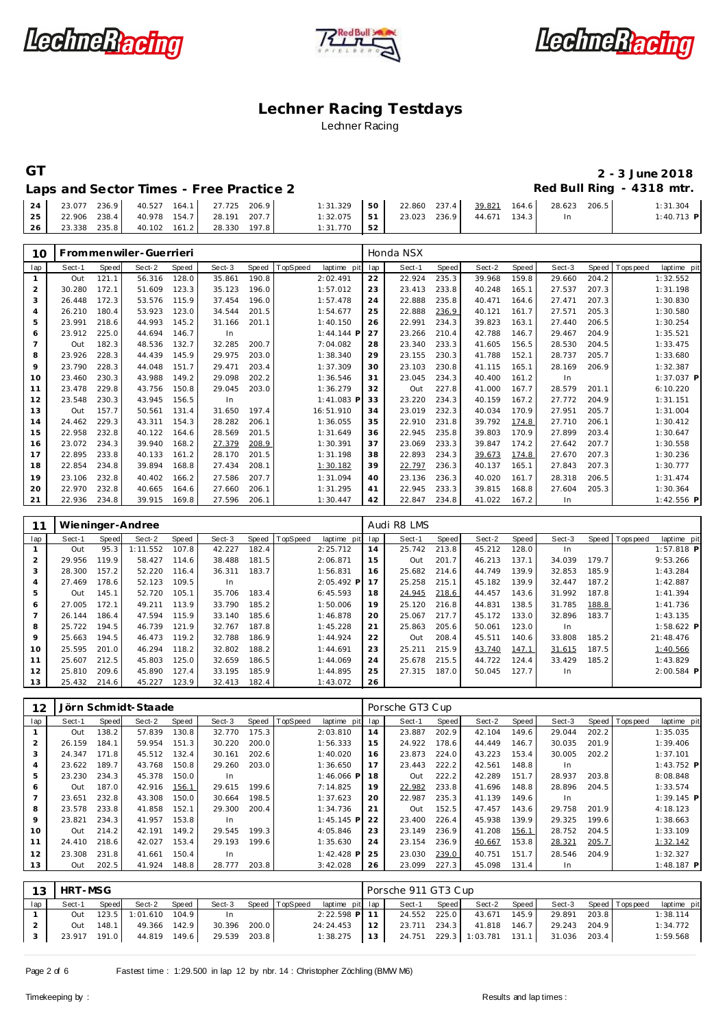





#### **GT 2 - 3 June 2018** Red Bull Ring - 4318 mtr.

| Laps and Sector Times - Free Practice 2 |  |  |  |
|-----------------------------------------|--|--|--|
|                                         |  |  |  |

| 24                 |  | 23.077 236.9 40.527 164.1 27.725 206.9 | $1:31.329$ 50   | 22.860 237.4 39.821 164.6 28.623 |  | 206.5 | 1:31.304     |
|--------------------|--|----------------------------------------|-----------------|----------------------------------|--|-------|--------------|
| $\vert$ 25 $\vert$ |  | 22.906 238.4 40.978 154.7 28.191 207.7 | $1:32.075$ 51   | 23.023 236.9 44.671 134.3        |  |       | $1:40.713$ P |
| 26                 |  | 23.338 235.8 40.102 161.2 28.330 197.8 | $1:31.770$ 1.52 |                                  |  |       |              |

| 10             |        |       | Frommenwiler-Guerrieri |              |        |       |          |              |     | Honda NSX   |       |        |       |        |       |                |              |
|----------------|--------|-------|------------------------|--------------|--------|-------|----------|--------------|-----|-------------|-------|--------|-------|--------|-------|----------------|--------------|
| lap            | Sect-1 | Speed | Sect-2                 | <b>Speed</b> | Sect-3 | Speed | TopSpeed | laptime pit  | lap | Sect-1      | Speed | Sect-2 | Speed | Sect-3 | Speed | T ops peed     | laptime pit  |
| $\mathbf{1}$   | Out    | 121.1 | 56.316                 | 128.0        | 35.861 | 190.8 |          | 2:02.491     | 22  | 22.924      | 235.3 | 39.968 | 159.8 | 29.660 | 204.2 |                | 1:32.552     |
| 2              | 30.280 | 172.1 | 51.609                 | 123.3        | 35.123 | 196.0 |          | 1:57.012     | 23  | 23.413      | 233.8 | 40.248 | 165.1 | 27.537 | 207.3 |                | 1:31.198     |
| 3              | 26.448 | 172.3 | 53.576                 | 115.9        | 37.454 | 196.0 |          | 1:57.478     | 24  | 22.888      | 235.8 | 40.471 | 164.6 | 27.471 | 207.3 |                | 1:30.830     |
| $\overline{4}$ | 26.210 | 180.4 | 53.923                 | 123.0        | 34.544 | 201.5 |          | 1:54.677     | 25  | 22.888      | 236.9 | 40.121 | 161.7 | 27.571 | 205.3 |                | 1:30.580     |
| 5              | 23.991 | 218.6 | 44.993                 | 145.2        | 31.166 | 201.1 |          | 1:40.150     | 26  | 22.991      | 234.3 | 39.823 | 163.1 | 27.440 | 206.5 |                | 1:30.254     |
| 6              | 23.912 | 225.0 | 44.694                 | 146.7        | In     |       |          | $1:44.144$ F | 27  | 23.266      | 210.4 | 42.788 | 146.7 | 29.467 | 204.9 |                | 1:35.521     |
| $\overline{7}$ | Out    | 182.3 | 48.536                 | 132.7        | 32.285 | 200.7 |          | 7:04.082     | 28  | 23.340      | 233.3 | 41.605 | 156.5 | 28.530 | 204.5 |                | 1:33.475     |
| 8              | 23.926 | 228.3 | 44.439                 | 145.9        | 29.975 | 203.0 |          | 1:38.340     | 29  | 23.155      | 230.3 | 41.788 | 152.1 | 28.737 | 205.7 |                | 1:33.680     |
| $\mathsf Q$    | 23.790 | 228.3 | 44.048                 | 151.7        | 29.471 | 203.4 |          | 1:37.309     | 30  | 23.103      | 230.8 | 41.115 | 165.1 | 28.169 | 206.9 |                | 1:32.387     |
| 10             | 23.460 | 230.3 | 43.988                 | 149.2        | 29.098 | 202.2 |          | 1:36.546     | 31  | 23.045      | 234.3 | 40.400 | 161.2 | In     |       |                | 1:37.037 P   |
| 11             | 23.478 | 229.8 | 43.756                 | 150.8        | 29.045 | 203.0 |          | 1:36.279     | 32  | Out         | 227.8 | 41.000 | 167.7 | 28.579 | 201.1 |                | 6:10.220     |
| 12             | 23.548 | 230.3 | 43.945                 | 156.5        | In     |       |          | $1:41.083$ F | 33  | 23.220      | 234.3 | 40.159 | 167.2 | 27.772 | 204.9 |                | 1:31.151     |
| 13             | Out    | 157.7 | 50.561                 | 131.4        | 31.650 | 197.4 |          | 16:51.910    | 34  | 23.019      | 232.3 | 40.034 | 170.9 | 27.951 | 205.7 |                | 1:31.004     |
| 14             | 24.462 | 229.3 | 43.311                 | 154.3        | 28.282 | 206.1 |          | 1:36.055     | 35  | 22.910      | 231.8 | 39.792 | 174.8 | 27.710 | 206.1 |                | 1:30.412     |
| 15             | 22.958 | 232.8 | 40.122                 | 164.6        | 28.569 | 201.5 |          | 1:31.649     | 36  | 22.945      | 235.8 | 39.803 | 170.9 | 27.899 | 203.4 |                | 1:30.647     |
| 16             | 23.072 | 234.3 | 39.940                 | 168.2        | 27.379 | 208.9 |          | 1:30.391     | 37  | 23.069      | 233.3 | 39.847 | 174.2 | 27.642 | 207.7 |                | 1:30.558     |
| 17             | 22.895 | 233.8 | 40.133                 | 161.2        | 28.170 | 201.5 |          | 1:31.198     | 38  | 22.893      | 234.3 | 39.673 | 174.8 | 27.670 | 207.3 |                | 1:30.236     |
| 18             | 22.854 | 234.8 | 39.894                 | 168.8        | 27.434 | 208.1 |          | 1:30.182     | 39  | 22.797      | 236.3 | 40.137 | 165.1 | 27.843 | 207.3 |                | 1:30.777     |
| 19             | 23.106 | 232.8 | 40.402                 | 166.2        | 27.586 | 207.7 |          | 1:31.094     | 40  | 23.136      | 236.3 | 40.020 | 161.7 | 28.318 | 206.5 |                | 1:31.474     |
| 20             | 22.970 | 232.8 | 40.665                 | 164.6        | 27.660 | 206.1 |          | 1:31.295     | 41  | 22.945      | 233.3 | 39.815 | 168.8 | 27.604 | 205.3 |                | 1:30.364     |
| 21             | 22.936 | 234.8 | 39.915                 | 169.8        | 27.596 | 206.1 |          | 1:30.447     | 42  | 22.847      | 234.8 | 41.022 | 167.2 | In     |       |                | 1:42.556 P   |
|                |        |       |                        |              |        |       |          |              |     |             |       |        |       |        |       |                |              |
| 11             |        |       | Wieninger-Andree       |              |        |       |          |              |     | Audi R8 LMS |       |        |       |        |       |                |              |
| lap            | Sect-1 | Speed | Sect-2                 | Speed        | Sect-3 | Speed | TopSpeed | laptime pit  | lap | Sect-1      | Speed | Sect-2 | Speed | Sect-3 |       | Speed Topspeed | laptime pit  |
| $\mathbf{1}$   | Out    | 95.3  | 1:11.552               | 107.8        | 42.227 | 182.4 |          | 2:25.712     | 14  | 25.742      | 213.8 | 45.212 | 128.0 | In     |       |                | $1:57.818$ P |
| 2              | 29.956 | 119.9 | 58.427                 | 114.6        | 38.488 | 181.5 |          | 2:06.871     | 15  | Out         | 201.7 | 46.213 | 137.1 | 34.039 | 179.7 |                | 9:53.266     |
| 3              | 28.300 | 157.2 | 52.220                 | 116.4        | 36.311 | 183.7 |          | 1:56.831     | 16  | 25.682      | 214.6 | 44.749 | 139.9 | 32.853 | 185.9 |                | 1:43.284     |
| $\overline{4}$ | 27.469 | 178.6 | 52.123                 | 109.5        | In     |       |          | 2:05.492 P   | 17  | 25.258      | 215.1 | 45.182 | 139.9 | 32.447 | 187.2 |                | 1:42.887     |
| 5              | Out    | 145 1 | 52 720                 | 1051         | 35 706 | 1834  |          | 6.45.593     | 18  | 24 945      | 218.6 | 44 457 | 1436  | 31 992 | 1878  |                | 1.41.394     |

|          | Out    | 145.1 | 52.720 | 105.1 | 35.706 | 183.4 | 6:45.593 | 18 | 24.945 | 218.6 | 44.457 | 143.6  | 31.992 | 187.8 | 1:41.394     |
|----------|--------|-------|--------|-------|--------|-------|----------|----|--------|-------|--------|--------|--------|-------|--------------|
|          | 27.005 | 172.1 | 49.211 | 113.9 | 33.790 | 185.2 | 1:50.006 | 19 | 25.120 | 216.8 | 44.831 | 138.5  | 31.785 | 188.8 | 1:41.736     |
|          | 26.144 | 186.4 | 47.594 | 115.9 | 33.140 | 185.6 | 1:46.878 | 20 | 25.067 | 217.7 | 45.172 | 133.01 | 32.896 | 183.7 | 1:43.135     |
| 8        | 25.722 | 194.5 | 46.739 | 121.9 | 32.767 | 187.8 | 1:45.228 | 21 | 25.863 | 205.6 | 50.061 | 123.0  | -In    |       | $1:58.622$ P |
| 9        | 25.663 | 194.5 | 46.473 | 119.2 | 32.788 | 186.9 | 1:44.924 | 22 | Out    | 208.4 | 45.511 | 140.6  | 33.808 | 185.2 | 21:48.476    |
| $10^{-}$ | 25.595 | 201.0 | 46.294 | 118.2 | 32.802 | 188.2 | 1:44.691 | 23 | 25.211 | 215.9 | 43.740 | 147.1  | 31.615 | 187.5 | 1:40.566     |
| 11       | 25.607 | 212.5 | 45.803 | 125.0 | 32.659 | 186.5 | 1:44.069 | 24 | 25.678 | 215.5 | 44.722 | 124.4  | 33.429 | 185.2 | 1:43.829     |
| $12 -$   | 25.810 | 209.6 | 45.890 | 127.4 | 33.195 | 185.9 | 1:44.895 | 25 | 27.315 | 187.0 | 50.045 | 127.7  | In     |       | $2:00.584$ P |
| 13       | 25.432 | 214.6 | 45.227 | 123.9 | 32.413 | 182.4 | 1:43.072 | 26 |        |       |        |        |        |       |              |

| 12             |        |       | Jörn Schmidt-Staade |       |        |       |          |              |     | Porsche GT3 Cup |       |        |       |        |       |                |              |
|----------------|--------|-------|---------------------|-------|--------|-------|----------|--------------|-----|-----------------|-------|--------|-------|--------|-------|----------------|--------------|
| lap            | Sect-1 | Speed | Sect-2              | Speed | Sect-3 | Speed | TopSpeed | laptime pit  | lap | Sect-1          | Speed | Sect-2 | Speed | Sect-3 |       | Speed Topspeed | laptime pit  |
|                | Out    | 138.2 | 57.839              | 130.8 | 32.770 | 175.3 |          | 2:03.810     | 14  | 23.887          | 202.9 | 42.104 | 149.6 | 29.044 | 202.2 |                | 1:35.035     |
| $\overline{2}$ | 26.159 | 184.1 | 59.954              | 151.3 | 30.220 | 200.0 |          | 1:56.333     | 15  | 24.922          | 178.6 | 44.449 | 146.7 | 30.035 | 201.9 |                | 1:39.406     |
| 3              | 24.347 | 171.8 | 45.512              | 132.4 | 30.161 | 202.6 |          | 1:40.020     | 16  | 23.873          | 224.0 | 43.223 | 153.4 | 30.005 | 202.2 |                | 1:37.101     |
| $\overline{4}$ | 23.622 | 189.7 | 43.768              | 150.8 | 29.260 | 203.0 |          | 1:36.650     | 17  | 23.443          | 222.2 | 42.561 | 148.8 | In.    |       |                | $1:43.752$ P |
| 5              | 23.230 | 234.3 | 45.378              | 150.0 | In     |       |          | $1:46.066$ P | 18  | Out             | 222.2 | 42.289 | 151.7 | 28.937 | 203.8 |                | 8:08.848     |
| 6              | Out    | 187.0 | 42.916              | 156.1 | 29.615 | 199.6 |          | 7:14.825     | 19  | 22.982          | 233.8 | 41.696 | 148.8 | 28.896 | 204.5 |                | 1:33.574     |
|                | 23.651 | 232.8 | 43.308              | 150.0 | 30.664 | 198.5 |          | 1:37.623     | 20  | 22.987          | 235.3 | 41.139 | 149.6 | In.    |       |                | $1:39.145$ P |
| 8              | 23.578 | 233.8 | 41.858              | 152.1 | 29.300 | 200.4 |          | 1:34.736     | 21  | Out             | 152.5 | 47.457 | 143.6 | 29.758 | 201.9 |                | 4:18.123     |
| 9              | 23.821 | 234.3 | 41.957              | 153.8 | In     |       |          | $1:45.145$ P | 22  | 23.400          | 226.4 | 45.938 | 139.9 | 29.325 | 199.6 |                | 1:38.663     |
| 10             | Out    | 214.2 | 42.191              | 149.2 | 29.545 | 199.3 |          | 4:05.846     | 23  | 23.149          | 236.9 | 41.208 | 156.1 | 28.752 | 204.5 |                | 1:33.109     |
| 11             | 24.410 | 218.6 | 42.027              | 153.4 | 29.193 | 199.6 |          | 1:35.630     | 24  | 23.154          | 236.9 | 40.667 | 153.8 | 28.321 | 205.7 |                | 1:32.142     |
| 12             | 23.308 | 231.8 | 41.661              | 150.4 | In     |       |          | $1:42.428$ P | 25  | 23.030          | 239.0 | 40.751 | 151.7 | 28.546 | 204.9 |                | 1:32.327     |
| 13             | Out    | 202.5 | 41.924              | 148.8 | 28.777 | 203.8 |          | 3:42.028     | 26  | 23.099          | 227.3 | 45.098 | 131.4 | In.    |       |                | $1:48.187$ P |
|                |        |       |                     |       |        |       |          |              |     |                 |       |        |       |        |       |                |              |

| 13  | HRT-MSG      |       |                      |       |              |       |                       |                                                              | Porsche 911 GT3 Cup |       |                           |              |       |                       |             |
|-----|--------------|-------|----------------------|-------|--------------|-------|-----------------------|--------------------------------------------------------------|---------------------|-------|---------------------------|--------------|-------|-----------------------|-------------|
| lap | Sect-1       |       | Speed Sect-2         | Speed |              |       | Sect-3 Speed TopSpeed | laptime pit lap                                              | Sect-1              | Speed | Sect-2 Speed              |              |       | Sect-3 Speed Topspeed | laptime pit |
|     | Out          |       | 123.5 1:01.610 104.9 |       | -In          |       |                       | $2:22.598$ P 11                                              |                     |       | 24.552 225.0 43.671 145.9 | 29.891       | 203.8 |                       | 1:38.114    |
|     | Out          | 148.1 | 49.366 142.9         |       | 30.396       | 200.0 |                       | 24:24.453   12                                               |                     |       | 23.711 234.3 41.818 146.7 | 29.243 204.9 |       |                       | 1:34.772    |
|     | 23.917 191.0 |       | 44.819 149.6         |       | 29.539 203.8 |       |                       | 1:38.275   13   24.751 229.3   1:03.781 131.1   31.036 203.4 |                     |       |                           |              |       |                       | 1:59.568    |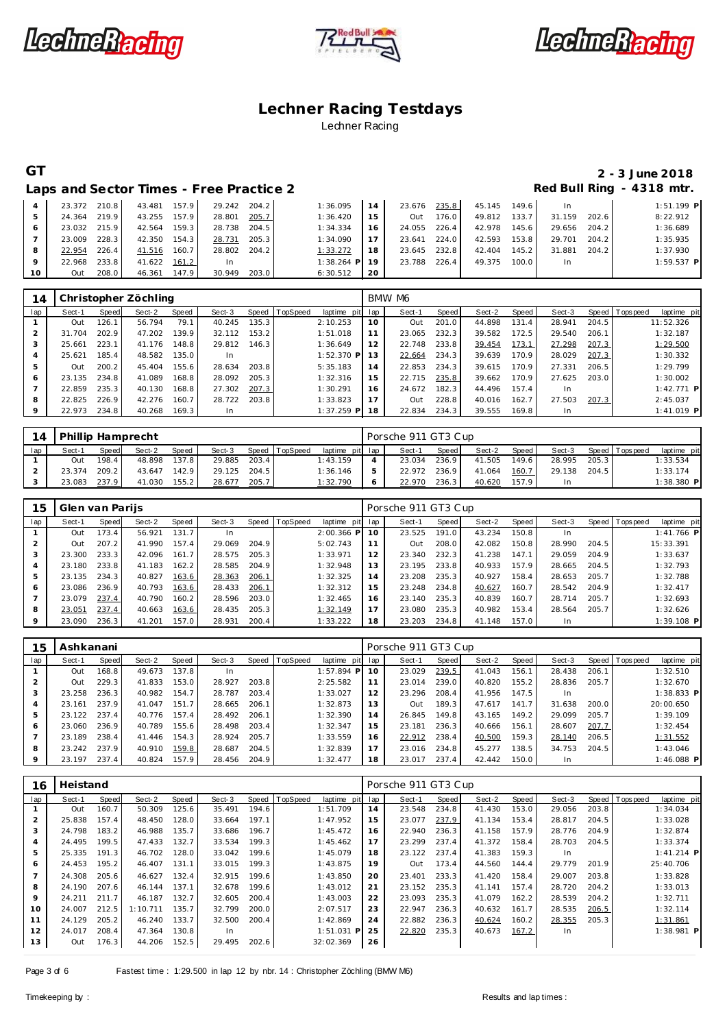





## **GT 2 - 3 June 2018**

Laps and Sector Times - Free Practice 2 **Access 2 Red Bull Ring - 4318 mtr.** 

|                 | 23.372 | 210.8 | 43.481       | 157.9 | 29.242    | 204.2 | 1:36.095     | 14 | 23.676 | 235.8 | 45.145 | 149.6 | -In    |       | $1:51.199$ P |
|-----------------|--------|-------|--------------|-------|-----------|-------|--------------|----|--------|-------|--------|-------|--------|-------|--------------|
|                 | 24.364 | 219.9 | 43.255       | 157.9 | 28.801    | 205.7 | 1:36.420     | 15 | Out    | 176.0 | 49.812 | 133.7 | 31.159 | 202.6 | 8:22.912     |
|                 | 23.032 | 215.9 | 42.564       | 159.3 | 28.738    | 204.5 | 1:34.334     | 16 | 24.055 | 226.4 | 42.978 | 145.6 | 29.656 | 204.2 | 1:36.689     |
|                 | 23.009 | 228.3 | 42.350 154.3 |       | 28.731    | 205.3 | 1:34.090     |    | 23.641 | 224.0 | 42.593 | 153.8 | 29.701 | 204.2 | 1:35.935     |
| 8               | 22.954 | 226.4 | 41.516       | 160.7 | 28.802    | 204.2 | 1:33.272     | 18 | 23.645 | 232.8 | 42.404 | 145.2 | 31.881 | 204.2 | 1:37.930     |
| $\circ$         | 22.968 | 233.8 | 41.622 161.2 |       | <b>In</b> |       | $1:38.264$ P | 19 | 23.788 | 226.4 | 49.375 | 100.0 | -In    |       | $1:59.537$ P |
| 10 <sup>°</sup> | Out    | 208.0 | 46.361       | 147.9 | 30.949    | 203.0 | 6:30.512     | 20 |        |       |        |       |        |       |              |

| 14  |        |       | Christopher Zöchling |       |           |       |          |              |     | BMW M6 |       |        |       |        |       |                               |
|-----|--------|-------|----------------------|-------|-----------|-------|----------|--------------|-----|--------|-------|--------|-------|--------|-------|-------------------------------|
| lap | Sect-1 | Speed | Sect-2               | Speed | Sect-3    | Speed | TopSpeed | laptime pit  | lap | Sect-1 | Speed | Sect-2 | Speed | Sect-3 |       | Speed Topspeed<br>laptime pit |
|     | Out    | 126.1 | 56.794               | 79.1  | 40.245    | 135.3 |          | 2:10.253     | 10  | Out    | 201.0 | 44.898 | 131.4 | 28.941 | 204.5 | 11:52.326                     |
|     | 31.704 | 202.9 | 47.202               | 139.9 | 32.112    | 153.2 |          | 1:51.018     | 11  | 23.065 | 232.3 | 39.582 | 172.5 | 29.540 | 206.1 | 1:32.187                      |
|     | 25.661 | 223.1 | 41.176               | 148.8 | 29.812    | 146.3 |          | 1:36.649     | 12  | 22.748 | 233.8 | 39.454 | 173.1 | 27.298 | 207.3 | 1:29.500                      |
|     | 25.621 | 185.4 | 48.582               | 135.0 | <b>In</b> |       |          | $1:52.370$ P | 13  | 22.664 | 234.3 | 39.639 | 170.9 | 28.029 | 207.3 | 1:30.332                      |
|     | Out    | 200.2 | 45.404               | 155.6 | 28.634    | 203.8 |          | 5:35.183     | 14  | 22.853 | 234.3 | 39.615 | 170.9 | 27.331 | 206.5 | 1:29.799                      |
| 6   | 23.135 | 234.8 | 41.089               | 168.8 | 28.092    | 205.3 |          | 1:32.316     | 15  | 22.715 | 235.8 | 39.662 | 170.9 | 27.625 | 203.0 | 1:30.002                      |
|     | 22.859 | 235.3 | 40.130               | 168.8 | 27.302    | 207.3 |          | 1:30.291     | 16  | 24.672 | 182.3 | 44.496 | 157.4 | In.    |       | $1:42.771$ P                  |
| 8   | 22.825 | 226.9 | 42.276               | 160.7 | 28.722    | 203.8 |          | 1:33.823     |     | Out    | 228.8 | 40.016 | 162.7 | 27.503 | 207.3 | 2:45.037                      |
|     | 22.973 | 234.8 | 40.268               | 169.3 | In.       |       |          | $1:37.259$ P | 18  | 22.834 | 234.3 | 39.555 | 169.8 | In.    |       | $1:41.019$ P                  |

| 14  | Phillip Hamprecht |              |        |       |        |       |                |                 | Porsche 911 GT3 Cup |       |        |       |        |       |                |              |
|-----|-------------------|--------------|--------|-------|--------|-------|----------------|-----------------|---------------------|-------|--------|-------|--------|-------|----------------|--------------|
| lap | Sect-′            | <b>Speed</b> | Sect-2 | Speed | Sect-3 |       | Speed TopSpeed | laptime pit lap | Sect-1              | Speed | Sect-2 | Speed | Sect-3 |       | Speed Topspeed | laptime pit  |
|     | Out               | $198.4$      | 48.898 | 137.8 | 29.885 | 203.4 |                | 1:43.159        | 23.034              | 236.9 | 41.505 | 149.6 | 28.995 | 205.3 |                | 1:33.534     |
|     | 23.374            | 209.21       | 43.647 | 142.9 | 29.125 | 204.5 |                | 1:36.146        | 22.972              | 236.9 | 41.064 | 160.7 | 29.138 | 204.5 |                | 1:33.174     |
|     | 23.083            | 237.9        | 41.030 | 155.2 | 28.677 | 205.7 |                | 1:32.790        | 22.970              | 236.3 | 40.620 | 157.9 | In.    |       |                | $1:38.380$ P |

| 15  | Glen van Parijs |       |        |       |        |       |                  |              |     | Porsche 911 GT3 Cup |       |        |       |        |       |                |              |
|-----|-----------------|-------|--------|-------|--------|-------|------------------|--------------|-----|---------------------|-------|--------|-------|--------|-------|----------------|--------------|
| lap | Sect-1          | Speed | Sect-2 | Speed | Sect-3 |       | Speed   TopSpeed | laptime pit  | lap | Sect-1              | Speed | Sect-2 | Speed | Sect-3 |       | Speed Topspeed | laptime pit  |
|     | Out             | 173.4 | 56.921 | 131.7 |        |       |                  | $2:00.366$ P | 10  | 23.525              | 191.0 | 43.234 | 150.8 | In     |       |                | $1:41.766$ P |
|     | Out             | 207.2 | 41.990 | 157.4 | 29.069 | 204.9 |                  | 5:02.743     | 11  | Out                 | 208.0 | 42.082 | 150.8 | 28.990 | 204.5 |                | 15:33.391    |
| 3   | 23.300          | 233.3 | 42.096 | 161.7 | 28.575 | 205.3 |                  | 1:33.971     | 12  | 23.340              | 232.3 | 41.238 | 147.1 | 29.059 | 204.9 |                | 1:33.637     |
| 4   | 23.180          | 233.8 | 41.183 | 162.2 | 28.585 | 204.9 |                  | 1:32.948     | 13  | 23.195              | 233.8 | 40.933 | 157.9 | 28.665 | 204.5 |                | 1:32.793     |
| 5   | 23.135          | 234.3 | 40.827 | 163.6 | 28.363 | 206.1 |                  | 1:32.325     | 14  | 23.208              | 235.3 | 40.927 | 158.4 | 28.653 | 205.7 |                | 1:32.788     |
| 6   | 23.086          | 236.9 | 40.793 | 163.6 | 28.433 | 206.1 |                  | 1:32.312     | 15  | 23.248              | 234.8 | 40.627 | 160.7 | 28.542 | 204.9 |                | 1:32.417     |
|     | 23.079          | 237.4 | 40.790 | 160.2 | 28.596 | 203.0 |                  | 1:32.465     | 16  | 23.140              | 235.3 | 40.839 | 160.7 | 28.714 | 205.7 |                | 1:32.693     |
| 8   | 23.051          | 237.4 | 40.663 | 163.6 | 28.435 | 205.3 |                  | 1:32.149     | 17  | 23.080              | 235.3 | 40.982 | 153.4 | 28.564 | 205.7 |                | 1:32.626     |
| 9   | 23.090          | 236.3 | 41.201 | 157.0 | 28.931 | 200.4 |                  | 1:33.222     | 18  | 23.203              | 234.8 | 41.148 | 157.0 | In     |       |                | $1:39.108$ P |

| 15  | Ashkanani |       |        |       |        |       |                 |                 |    | Porsche 911 GT3 Cup |       |        |                    |        |       |                |              |  |
|-----|-----------|-------|--------|-------|--------|-------|-----------------|-----------------|----|---------------------|-------|--------|--------------------|--------|-------|----------------|--------------|--|
| lap | Sect-1    | Speed | Sect-2 | Speed | Sect-3 | Speed | <b>TopSpeed</b> | laptime pit lap |    | Sect-1              | Speed | Sect-2 | Speed              | Sect-3 |       | Speed Topspeed | laptime pit  |  |
|     | Out       | 168.8 | 49.673 | 137.8 |        |       |                 | $1:57.894$ P    | 10 | 23.029              | 239.5 | 41.043 | 156.1              | 28.438 | 206.1 |                | 1:32.510     |  |
|     | Out       | 229.3 | 41.833 | 153.0 | 28.927 | 203.8 |                 | 2:25.582        |    | 23.014              | 239.0 | 40.820 | 155.2              | 28.836 | 205.7 |                | 1:32.670     |  |
|     | 23.258    | 236.3 | 40.982 | 154.7 | 28.787 | 203.4 |                 | 1:33.027        |    | 23.296              | 208.4 | 41.956 | 147.5              | In     |       |                | $1:38.833$ P |  |
|     | 23.161    | 237.9 | 41.047 | 151.7 | 28.665 | 206.1 |                 | 1:32.873        | 13 | <b>Out</b>          | 189.3 | 47.617 | 141.7 <sub>1</sub> | 31.638 | 200.0 |                | 20:00.650    |  |
| 5   | 23.122    | 237.4 | 40.776 | 157.4 | 28.492 | 206.1 |                 | 1:32.390        | 14 | 26.845              | 149.8 | 43.165 | 149.2              | 29.099 | 205.7 |                | 1:39.109     |  |
| 6   | 23.060    | 236.9 | 40.789 | 155.6 | 28.498 | 203.4 |                 | 1:32.347        | 15 | 23.181              | 236.3 | 40.666 | 156.1              | 28.607 | 207.7 |                | 1:32.454     |  |
|     | 23.189    | 238.4 | 41.446 | 154.3 | 28.924 | 205.7 |                 | 1:33.559        | 16 | 22.912              | 238.4 | 40.500 | 159.3              | 28.140 | 206.5 |                | 1:31.552     |  |
| 8   | 23.242    | 237.9 | 40.910 | 159.8 | 28.687 | 204.5 |                 | 1:32.839        |    | 23.016              | 234.8 | 45.277 | 138.5              | 34.753 | 204.5 |                | 1:43.046     |  |
| 9   | 23.197    | 237.4 | 40.824 | 157.9 | 28.456 | 204.9 |                 | 1:32.477        | 18 | 23.017              | 237.4 | 42.442 | 150.0              | In     |       |                | 1:46.088 P   |  |

| 16             | Heistand |       |          |       |        |       |                  |              |     | Porsche 911 GT3 Cup |       |        |       |        |       |                |              |  |
|----------------|----------|-------|----------|-------|--------|-------|------------------|--------------|-----|---------------------|-------|--------|-------|--------|-------|----------------|--------------|--|
| lap            | Sect-1   | Speed | Sect-2   | Speed | Sect-3 |       | Speed   TopSpeed | laptime pit  | lap | Sect-1              | Speed | Sect-2 | Speed | Sect-3 |       | Speed Topspeed | laptime pit  |  |
|                | Out      | 160.7 | 50.309   | 125.6 | 35.491 | 194.6 |                  | 1:51.709     | 14  | 23.548              | 234.8 | 41.430 | 153.0 | 29.056 | 203.8 |                | 1:34.034     |  |
| $\overline{2}$ | 25.838   | 157.4 | 48.450   | 128.0 | 33.664 | 197.1 |                  | 1:47.952     | 15  | 23.077              | 237.9 | 41.134 | 153.4 | 28.817 | 204.5 |                | 1:33.028     |  |
| 3              | 24.798   | 183.2 | 46.988   | 135.7 | 33.686 | 196.7 |                  | 1:45.472     | 16  | 22.940              | 236.3 | 41.158 | 157.9 | 28.776 | 204.9 |                | 1:32.874     |  |
| 4              | 24.495   | 199.5 | 47.433   | 132.7 | 33.534 | 199.3 |                  | 1:45.462     | 17  | 23.299              | 237.4 | 41.372 | 158.4 | 28.703 | 204.5 |                | 1:33.374     |  |
| 5              | 25.335   | 191.3 | 46.702   | 128.0 | 33.042 | 199.6 |                  | 1:45.079     | 18  | 23.122              | 237.4 | 41.383 | 159.3 | In     |       |                | $1:41.214$ P |  |
| 6              | 24.453   | 195.2 | 46.407   | 131.1 | 33.015 | 199.3 |                  | 1:43.875     | 19  | Out                 | 173.4 | 44.560 | 144.4 | 29.779 | 201.9 |                | 25:40.706    |  |
|                | 24.308   | 205.6 | 46.627   | 132.4 | 32.915 | 199.6 |                  | 1:43.850     | 20  | 23.401              | 233.3 | 41.420 | 158.4 | 29.007 | 203.8 |                | 1:33.828     |  |
| 8              | 24.190   | 207.6 | 46.144   | 137.1 | 32.678 | 199.6 |                  | 1:43.012     | 21  | 23.152              | 235.3 | 41.141 | 157.4 | 28.720 | 204.2 |                | 1:33.013     |  |
| 9              | 24.211   | 211.7 | 46.187   | 132.7 | 32.605 | 200.4 |                  | 1:43.003     | 22  | 23.093              | 235.3 | 41.079 | 162.2 | 28.539 | 204.2 |                | 1:32.711     |  |
| 10             | 24.007   | 212.5 | 1:10.711 | 135.7 | 32.799 | 200.0 |                  | 2:07.517     | 23  | 22.947              | 236.3 | 40.632 | 161.7 | 28.535 | 206.5 |                | 1:32.114     |  |
| 11             | 24.129   | 205.2 | 46.240   | 133.7 | 32.500 | 200.4 |                  | 1:42.869     | 24  | 22.882              | 236.3 | 40.624 | 160.2 | 28.355 | 205.3 |                | 1:31.861     |  |
| 12             | 24.017   | 208.4 | 47.364   | 130.8 | In.    |       |                  | $1:51.031$ P | 25  | 22.820              | 235.3 | 40.673 | 167.2 | In     |       |                | $1:38.981$ P |  |
| 13             | Out      | 176.3 | 44.206   | 152.5 | 29.495 | 202.6 |                  | 32:02.369    | 26  |                     |       |        |       |        |       |                |              |  |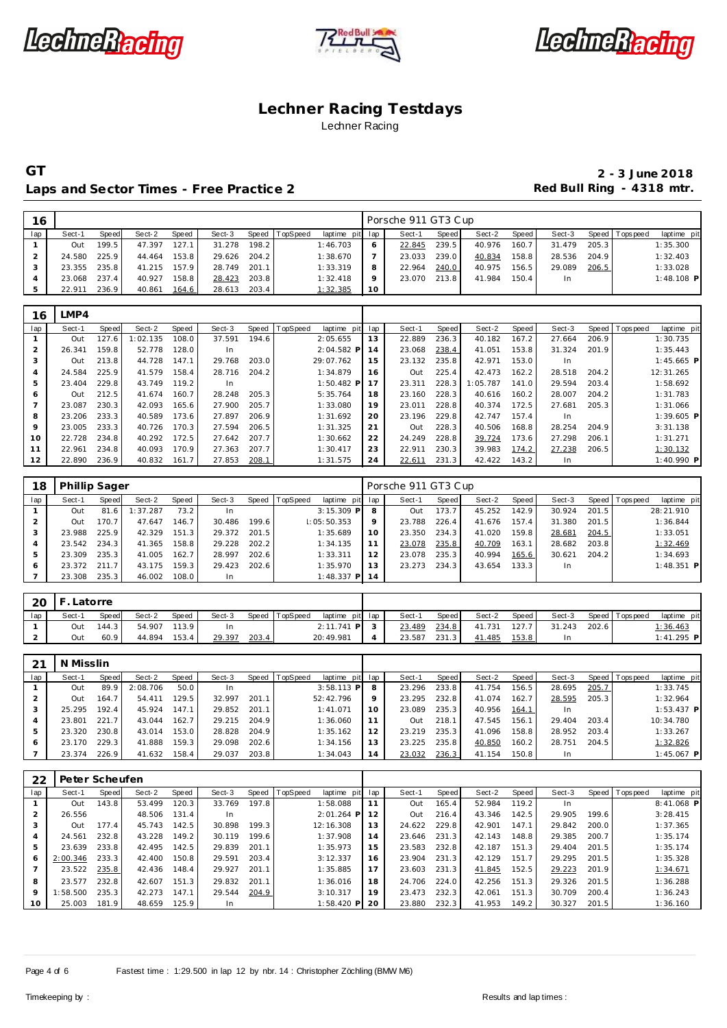





### Laps and Sector Times - Free Practice 2 **Access 2 Red Bull Ring - 4318 mtr.**

| 16  |        |       |        |       |        |       |                |                 |         | Porsche 911 GT3 Cup |       |        |       |        |       |                 |              |
|-----|--------|-------|--------|-------|--------|-------|----------------|-----------------|---------|---------------------|-------|--------|-------|--------|-------|-----------------|--------------|
| lap | Sect-1 | Speed | Sect-2 | Speed | Sect-3 |       | Speed TopSpeed | laptime pit lap |         | Sect-1              | Speed | Sect-2 | Speed | Sect-3 |       | Speed Tops peed | laptime pit  |
|     | Out    | 199.5 | 47.397 | 127.1 | 31.278 | 198.2 |                | 1:46.703        | 6       | 22.845              | 239.5 | 40.976 | 160.7 | 31.479 | 205.3 |                 | 1:35.300     |
|     | 24.580 | 225.9 | 44.464 | 153.8 | 29.626 | 204.2 |                | 1:38.670        |         | 23.033              | 239.0 | 40.834 | 158.8 | 28.536 | 204.9 |                 | 1:32.403     |
|     | 23.355 | 235.8 | 41.215 | 157.9 | 28.749 | 201.1 |                | 1:33.319        | 8       | 22.964              | 240.0 | 40.975 | 156.5 | 29.089 | 206.5 |                 | 1:33.028     |
|     | 23.068 | 237.4 | 40.927 | 158.8 | 28.423 | 203.8 |                | 1:32.418        | $\circ$ | 23.070              | 213.8 | 41.984 | 150.4 | In.    |       |                 | $1:48.108$ P |
|     | 22.911 | 236.9 | 40.861 | 164.6 | 28.613 | 203.4 |                | 1:32.385        | 10      |                     |       |        |       |        |       |                 |              |

| 16  | LMP4   |       |          |       |        |       |                |              |     |        |       |          |       |        |       |                 |              |
|-----|--------|-------|----------|-------|--------|-------|----------------|--------------|-----|--------|-------|----------|-------|--------|-------|-----------------|--------------|
| lap | Sect-1 | Speed | Sect-2   | Speed | Sect-3 |       | Speed TopSpeed | laptime pit  | lap | Sect-1 | Speed | Sect-2   | Speed | Sect-3 |       | Speed Tops peed | laptime pit  |
|     | Out    | 127.6 | 1:02.135 | 108.0 | 37.591 | 194.6 |                | 2:05.655     | 13  | 22.889 | 236.3 | 40.182   | 167.2 | 27.664 | 206.9 |                 | 1:30.735     |
|     | 26.341 | 159.8 | 52.778   | 128.0 | In     |       |                | $2:04.582$ P | 14  | 23.068 | 238.4 | 41.051   | 153.8 | 31.324 | 201.9 |                 | 1:35.443     |
|     | Out    | 213.8 | 44.728   | 147.1 | 29.768 | 203.0 |                | 29:07.762    | 15  | 23.132 | 235.8 | 42.971   | 153.0 | In.    |       |                 | $1:45.665$ P |
|     | 24.584 | 225.9 | 41.579   | 158.4 | 28.716 | 204.2 |                | 1:34.879     | 16  | Out    | 225.4 | 42.473   | 162.2 | 28.518 | 204.2 |                 | 12:31.265    |
| 5   | 23.404 | 229.8 | 43.749   | 119.2 | In.    |       |                | $1:50.482$ P | 17  | 23.311 | 228.3 | 1:05.787 | 141.0 | 29.594 | 203.4 |                 | 1:58.692     |
| 6   | Out    | 212.5 | 41.674   | 160.7 | 28.248 | 205.3 |                | 5:35.764     | 18  | 23.160 | 228.3 | 40.616   | 160.2 | 28.007 | 204.2 |                 | 1:31.783     |
|     | 23.087 | 230.3 | 42.093   | 165.6 | 27.900 | 205.7 |                | 1:33.080     | 19  | 23.011 | 228.8 | 40.374   | 172.5 | 27.681 | 205.3 |                 | 1:31.066     |
| 8   | 23.206 | 233.3 | 40.589   | 173.6 | 27.897 | 206.9 |                | 1:31.692     | 20  | 23.196 | 229.8 | 42.747   | 157.4 | In.    |       |                 | $1:39.605$ P |
| 9   | 23.005 | 233.3 | 40.726   | 170.3 | 27.594 | 206.5 |                | 1:31.325     | 21  | Out    | 228.3 | 40.506   | 168.8 | 28.254 | 204.9 |                 | 3:31.138     |
| 10  | 22.728 | 234.8 | 40.292   | 172.5 | 27.642 | 207.7 |                | 1:30.662     | 22  | 24.249 | 228.8 | 39.724   | 173.6 | 27.298 | 206.1 |                 | 1:31.271     |
| 11  | 22.961 | 234.8 | 40.093   | 170.9 | 27.363 | 207.7 |                | 1:30.417     | 23  | 22.911 | 230.3 | 39.983   | 174.2 | 27.238 | 206.5 |                 | 1:30.132     |
| 12  | 22.890 | 236.9 | 40.832   | 161.7 | 27.853 | 208.1 |                | 1:31.575     | 24  | 22.611 | 231.3 | 42.422   | 143.2 | In.    |       |                 | $1:40.990$ P |

| 18  | <b>Phillip Sager</b> |       |         |       |        |       |          |                 |     | Porsche 911 GT3 Cup |       |        |       |        |       |                 |              |
|-----|----------------------|-------|---------|-------|--------|-------|----------|-----------------|-----|---------------------|-------|--------|-------|--------|-------|-----------------|--------------|
| lap | Sect-1               | Speed | Sect-2  | Speed | Sect-3 | Speed | TopSpeed | laptime pit lap |     | Sect-1              | Speed | Sect-2 | Speed | Sect-3 |       | Speed Tops peed | laptime pit  |
|     | Out                  | 81.6  | :37.287 | 73.2  | 1n     |       |          | $3:15.309$ P    | 8   | Out                 | 173.7 | 45.252 | 142.9 | 30.924 | 201.5 |                 | 28:21.910    |
|     | Out                  | 170.7 | 47.647  | 146.7 | 30.486 | 199.6 |          | 1:05:50.353     |     | 23.788              | 226.4 | 41.676 | 157.4 | 31.380 | 201.5 |                 | 1:36.844     |
|     | 23.988               | 225.9 | 42.329  | 151.3 | 29.372 | 201.5 |          | 1:35.689        | 10  | 23.350              | 234.3 | 41.020 | 159.8 | 28.681 | 204.5 |                 | 1:33.051     |
|     | 23.542               | 234.3 | 41.365  | 158.8 | 29.228 | 202.2 |          | 1:34.135        |     | 23.078              | 235.8 | 40.709 | 163.1 | 28.682 | 203.8 |                 | 1:32.469     |
| 5   | 23.309               | 235.3 | 41.005  | 162.7 | 28.997 | 202.6 |          | 1:33.311        | 12  | 23.078              | 235.3 | 40.994 | 165.6 | 30.621 | 204.2 |                 | 1:34.693     |
| 6   | 23.372               | 211.7 | 43.175  | 159.3 | 29.423 | 202.6 |          | 1:35.970        | 1.3 | 23.273              | 234.3 | 43.654 | 133.3 | In     |       |                 | $1:48.351$ P |
|     | 23.308               | 235.3 | 46.002  | 108.0 | In.    |       |          | $1:48.337$ P    | 14  |                     |       |        |       |        |       |                 |              |

| $-20$ IF |        | Latorre      |        |              |        |       |          |                 |        |       |        |         |        |       |                |                 |
|----------|--------|--------------|--------|--------------|--------|-------|----------|-----------------|--------|-------|--------|---------|--------|-------|----------------|-----------------|
| lap      | Sect-1 | <b>Speed</b> | Sect-2 | <b>Speed</b> | Sect-3 | Speed | TopSpeed | laptime pit lap | Sect-1 | Speed | Sect-2 | Speed I | Sect-3 |       | Speed Topspeed | laptime pit     |
|          | Out    | 144.3 I      | 54.907 | 113.9        | In     |       |          | $2:11.741$ P    | 23.489 | 234.8 | 41.731 | 127.7   | 31.243 | 202.6 |                | <u>1:36.463</u> |
|          | Out    | 60.9         | 44.894 | 153.4        | 29.397 | 203.4 |          | 20:49.981       | 23.587 | 231.3 | 41.485 | 153.8   |        |       |                | 1:41.295 P      |

|     | N Misslin |       |          |       |        |       |                |                 |    |        |       |        |       |        |       |                 |              |  |
|-----|-----------|-------|----------|-------|--------|-------|----------------|-----------------|----|--------|-------|--------|-------|--------|-------|-----------------|--------------|--|
| lap | Sect-1    | Speed | Sect-2   | Speed | Sect-3 |       | Speed TopSpeed | laptime pit lap |    | Sect-1 | Speed | Sect-2 | Speed | Sect-3 |       | Speed Tops peed | laptime pit  |  |
|     | Out       | 89.9  | 2:08.706 | 50.0  | In.    |       |                | $3:58.113$ P    |    | 23.296 | 233.8 | 41.754 | 156.5 | 28.695 | 205.7 |                 | 1:33.745     |  |
|     | Out       | 164.7 | 54.411   | 129.5 | 32.997 | 201.1 |                | 52:42.796       |    | 23.295 | 232.8 | 41.074 | 162.7 | 28.595 | 205.3 |                 | 1:32.964     |  |
|     | 25.295    | 192.4 | 45.924   | 147.1 | 29.852 | 201.1 |                | 1:41.071        | 10 | 23.089 | 235.3 | 40.956 | 164.1 | In     |       |                 | $1:53.437$ P |  |
|     | 23.801    | 221.7 | 43.044   | 162.7 | 29.215 | 204.9 |                | 1:36.060        |    | Out    | 218.1 | 47.545 | 156.1 | 29.404 | 203.4 |                 | 10:34.780    |  |
|     | 23.320    | 230.8 | 43.014   | 153.0 | 28.828 | 204.9 |                | 1:35.162        |    | 23.219 | 235.3 | 41.096 | 158.8 | 28.952 | 203.4 |                 | 1:33.267     |  |
|     | 23.170    | 229.3 | 41.888   | 159.3 | 29.098 | 202.6 |                | 1:34.156        |    | 23.225 | 235.8 | 40.850 | 160.2 | 28.751 | 204.5 |                 | 1:32.826     |  |
|     | 23.374    | 226.9 | 41.632   | 158.4 | 29.037 | 203.8 |                | 1:34.043        | 14 | 23.032 | 236.3 | 41.154 | 150.8 | In.    |       |                 | $1:45.067$ P |  |

| 22  | Peter Scheufen |       |        |       |        |       |          |              |     |        |                       |        |       |        |       |                |             |
|-----|----------------|-------|--------|-------|--------|-------|----------|--------------|-----|--------|-----------------------|--------|-------|--------|-------|----------------|-------------|
| lap | Sect-1         | Speed | Sect-2 | Speed | Sect-3 | Speed | TopSpeed | laptime pit  | lap | Sect-1 | Speed                 | Sect-2 | Speed | Sect-3 |       | Speed Topspeed | laptime pit |
|     | Out            | 43.8  | 53.499 | 120.3 | 33.769 | 197.8 |          | 1:58.088     |     | Out    | 165.4                 | 52.984 | 119.2 | -In    |       |                | 8:41.068 P  |
|     | 26.556         |       | 48.506 | 131.4 | In     |       |          | $2:01.264$ P |     | Out    | 216.4                 | 43.346 | 142.5 | 29.905 | 199.6 |                | 3:28.415    |
|     | Out            | 77.4  | 45.743 | 142.5 | 30.898 | 199.3 |          | 12:16.308    | 13  | 24.622 | 229.8                 | 42.901 | 147.1 | 29.842 | 200.0 |                | 1:37.365    |
|     | 24.561         | 232.8 | 43.228 | 149.2 | 30.119 | 199.6 |          | 1:37.908     | 14  | 23.646 | 231<br>$\cdot$ 3      | 42.143 | 148.8 | 29.385 | 200.7 |                | 1:35.174    |
|     | 23.639         | 233.8 | 42.495 | 142.5 | 29.839 | 201.1 |          | 1:35.973     | 15  | 23.583 | 232.8                 | 42.187 | 151.3 | 29.404 | 201.5 |                | 1:35.174    |
| 6   | 2:00.346       | 233.3 | 42.400 | 150.8 | 29.591 | 203.4 |          | 3:12.337     | 16  | 23.904 | 231<br>$\cdot$ 3.     | 42.129 | 151.7 | 29.295 | 201.5 |                | 1:35.328    |
|     | 23.522         | 235.8 | 42.436 | 148.4 | 29.927 | 201.1 |          | 1:35.885     | 17  | 23.603 | 231<br>$\overline{3}$ | 41.845 | 152.5 | 29.223 | 201.9 |                | 1:34.671    |
| 8   | 23.577         | 232.8 | 42.607 | 151.3 | 29.832 | 201.1 |          | 1:36.016     | 18  | 24.706 | 224.0                 | 42.256 | 151.3 | 29.326 | 201.5 |                | 1:36.288    |
| 9   | :58.500        | 235.3 | 42.273 | 147.1 | 29.544 | 204.9 |          | 3:10.317     | 19  | 23.473 | 232.3                 | 42.061 | 151.3 | 30.709 | 200.4 |                | 1:36.243    |
| 10  | 25.003         | 181.9 | 48.659 | 125.9 | In.    |       |          | $1:58.420$ P | 20  | 23.880 | 232.3                 | 41.953 | 149.2 | 30.327 | 201.5 |                | 1:36.160    |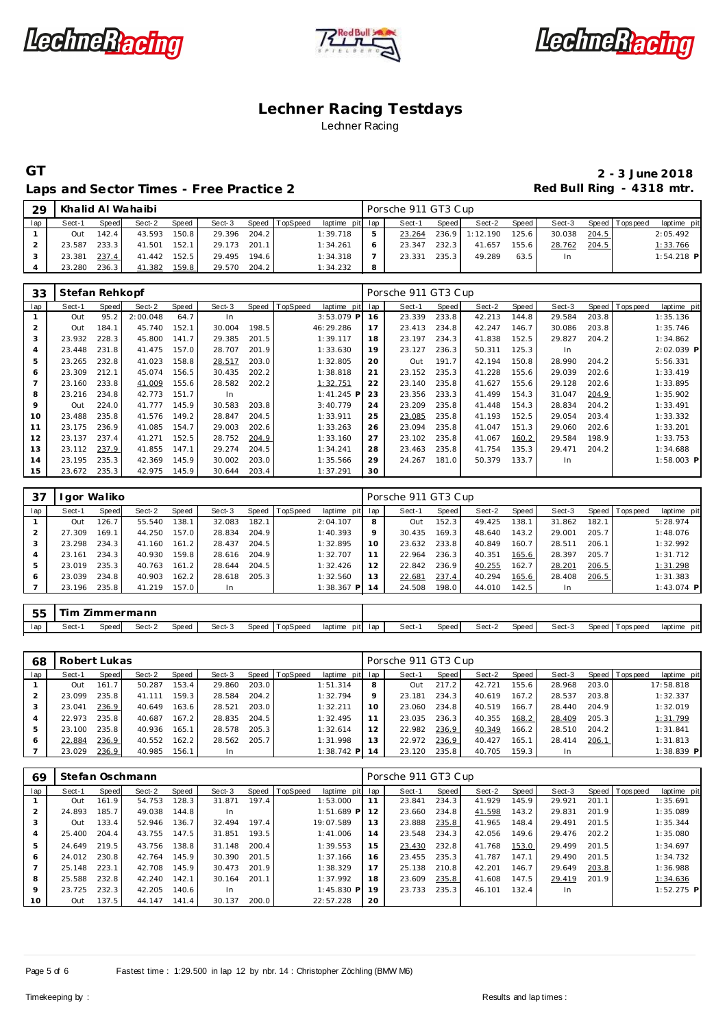





#### Laps and Sector Times - Free Practice 2 **Access 2 Red Bull Ring - 4318 mtr.**

| 29  |        |              | Khalid Al Wahaibi |              |        |       |                |                 |   | Porsche 911 GT3 Cup |         |          |       |        |       |                   |              |
|-----|--------|--------------|-------------------|--------------|--------|-------|----------------|-----------------|---|---------------------|---------|----------|-------|--------|-------|-------------------|--------------|
| lap | Sect-1 | <b>Speed</b> | Sect-2            | <b>Speed</b> | Sect-3 |       | Speed TopSpeed | laptime pit lap |   | Sect-1              | Speed I | Sect-2   | Speed | Sect-3 |       | Speed   Tops peed | laptime pit  |
|     | Out    | 142.4        | 43.593            | 150.8        | 29.396 | 204.2 |                | 1:39.718        |   | 23.264              | 236.9   | 1:12.190 | 125.6 | 30.038 | 204.5 |                   | 2:05.492     |
|     | 23.587 | 233.3        | 41.501            | 152.1        | 29.173 | 201.1 |                | 1:34.261        | 6 | 23.347              | 232.3   | 41.657   | 155.6 | 28.762 | 204.5 |                   | 1:33.766     |
|     | 23.381 | 237.4        | 41.442            | 152.5        | 29.495 | 194.6 |                | 1:34.318        |   | 23.331              | 235.3   | 49.289   | 63.5  | In.    |       |                   | $1:54.218$ P |
|     | 23.280 | 236.3        | 41.382            | 159.8        | 29.570 | 204.2 |                | 1:34.232        | 8 |                     |         |          |       |        |       |                   |              |

| 33  | Stefan Rehkopf |       |          |       |        |       |                |              |     | Porsche 911 GT3 Cup |       |        |       |        |       |                |             |
|-----|----------------|-------|----------|-------|--------|-------|----------------|--------------|-----|---------------------|-------|--------|-------|--------|-------|----------------|-------------|
| lap | Sect-1         | Speed | Sect-2   | Speed | Sect-3 |       | Speed TopSpeed | laptime pit  | lap | Sect-1              | Speed | Sect-2 | Speed | Sect-3 |       | Speed Topspeed | laptime pit |
|     | Out            | 95.2  | 2:00.048 | 64.7  | In.    |       |                | 3:53.079 P   | 16  | 23.339              | 233.8 | 42.213 | 144.8 | 29.584 | 203.8 |                | 1:35.136    |
| 2   | Out            | 184.1 | 45.740   | 152.1 | 30.004 | 198.5 |                | 46:29.286    | 17  | 23.413              | 234.8 | 42.247 | 146.7 | 30.086 | 203.8 |                | 1:35.746    |
| 3   | 23.932         | 228.3 | 45.800   | 141.7 | 29.385 | 201.5 |                | 1:39.117     | 18  | 23.197              | 234.3 | 41.838 | 152.5 | 29.827 | 204.2 |                | 1:34.862    |
| 4   | 23.448         | 231.8 | 41.475   | 157.0 | 28.707 | 201.9 |                | 1:33.630     | 19  | 23.127              | 236.3 | 50.311 | 125.3 | In     |       |                | 2:02.039 P  |
| 5   | 23.265         | 232.8 | 41.023   | 158.8 | 28.517 | 203.0 |                | 1:32.805     | 20  | Out                 | 191.7 | 42.194 | 150.8 | 28.990 | 204.2 |                | 5:56.331    |
| 6   | 23.309         | 212.1 | 45.074   | 156.5 | 30.435 | 202.2 |                | 1:38.818     | 21  | 23.152              | 235.3 | 41.228 | 155.6 | 29.039 | 202.6 |                | 1:33.419    |
|     | 23.160         | 233.8 | 41.009   | 155.6 | 28.582 | 202.2 |                | 1:32.751     | 22  | 23.140              | 235.8 | 41.627 | 155.6 | 29.128 | 202.6 |                | 1:33.895    |
| 8   | 23.216         | 234.8 | 42.773   | 151.7 | In.    |       |                | $1:41.245$ P | 23  | 23.356              | 233.3 | 41.499 | 154.3 | 31.047 | 204.9 |                | 1:35.902    |
| 9   | Out            | 224.0 | 41.777   | 145.9 | 30.583 | 203.8 |                | 3:40.779     | 24  | 23.209              | 235.8 | 41.448 | 154.3 | 28.834 | 204.2 |                | 1:33.491    |
| 10  | 23.488         | 235.8 | 41.576   | 149.2 | 28.847 | 204.5 |                | 1:33.911     | 25  | 23.085              | 235.8 | 41.193 | 152.5 | 29.054 | 203.4 |                | 1:33.332    |
| 11  | 23.175         | 236.9 | 41.085   | 154.7 | 29.003 | 202.6 |                | 1:33.263     | 26  | 23.094              | 235.8 | 41.047 | 151.3 | 29.060 | 202.6 |                | 1:33.201    |
| 12  | 23.137         | 237.4 | 41.271   | 152.5 | 28.752 | 204.9 |                | 1:33.160     | 27  | 23.102              | 235.8 | 41.067 | 160.2 | 29.584 | 198.9 |                | 1:33.753    |
| 13  | 23.112         | 237.9 | 41.855   | 147.1 | 29.274 | 204.5 |                | 1:34.241     | 28  | 23.463              | 235.8 | 41.754 | 135.3 | 29.471 | 204.2 |                | 1:34.688    |
| 14  | 23.195         | 235.3 | 42.369   | 145.9 | 30.002 | 203.0 |                | 1:35.566     | 29  | 24.267              | 181.0 | 50.379 | 133.7 | In     |       |                | 1:58.003 P  |
| 15  | 23.672         | 235.3 | 42.975   | 145.9 | 30.644 | 203.4 |                | 1:37.291     | 30  |                     |       |        |       |        |       |                |             |

| 37  |        | gor Waliko |        |       |        |       |                 |             |                | Porsche 911 GT3 Cup |       |        |       |        |       |                 |             |
|-----|--------|------------|--------|-------|--------|-------|-----------------|-------------|----------------|---------------------|-------|--------|-------|--------|-------|-----------------|-------------|
| lap | Sect-1 | Speed      | Sect-2 | Speed | Sect-3 | Speed | <b>TopSpeed</b> | laptime pit | lap            | Sect-1              | Speed | Sect-2 | Speed | Sect-3 |       | Speed Tops peed | laptime pit |
|     | Out    | 126.       | 55.540 | 138.1 | 32.083 | 182.1 |                 | 2:04.107    | 8              | Out                 | 152.3 | 49.425 | 138.1 | 31.862 | 182.1 |                 | 5:28.974    |
|     | 27.309 | 169.1      | 44.250 | 157.0 | 28.834 | 204.9 |                 | 1:40.393    | $\circ$        | 30.435              | 169.3 | 48.640 | 143.2 | 29.001 | 205.7 |                 | 1:48.076    |
|     | 23.298 | 234.3      | 41.160 | 161.2 | 28.437 | 204.5 |                 | 1:32.895    | 10             | 23.632              | 233.8 | 40.849 | 160.7 | 28.511 | 206.1 |                 | 1:32.992    |
|     | 23.161 | 234.3      | 40.930 | 159.8 | 28.616 | 204.9 |                 | 1:32.707    |                | 22.964              | 236.3 | 40.351 | 165.6 | 28.397 | 205.7 |                 | 1:31.712    |
|     | 23.019 | 235.3      | 40.763 | 161.2 | 28.644 | 204.5 |                 | 1:32.426    | 12             | 22.842              | 236.9 | 40.255 | 162.7 | 28.201 | 206.5 |                 | 1:31.298    |
| 6   | 23.039 | 234.8      | 40.903 | 162.2 | 28.618 | 205.3 |                 | 1:32.560    | 3              | 22.681              | 237.4 | 40.294 | 165.6 | 28.408 | 206.5 |                 | 1:31.383    |
|     | 23.196 | 235.8      | 41.219 | 157.0 | In     |       |                 | 1:38.367 PI | $\overline{A}$ | 24.508              | 198.0 | 44.010 | 142.5 | In     |       |                 | 1:43.074 P  |

| 55  | Tim Zimmermann |       |        |       |        |                |                 |        |       |        |         |        |                |             |
|-----|----------------|-------|--------|-------|--------|----------------|-----------------|--------|-------|--------|---------|--------|----------------|-------------|
| lap | Sect-1         | Speed | Sect-2 | Speed | Sect-3 | Speed TopSpeed | laptime pit lap | Sect-1 | Speed | Sect-2 | Speed I | Sect-3 | Speed Topspeed | laptime pit |

| 68  | Robert Lukas |       |        |       |        |       |                |                 |    | Porsche 911 GT3 Cup |       |        |                    |        |       |                 |              |
|-----|--------------|-------|--------|-------|--------|-------|----------------|-----------------|----|---------------------|-------|--------|--------------------|--------|-------|-----------------|--------------|
| lap | Sect-1       | Speed | Sect-2 | Speed | Sect-3 |       | Speed TopSpeed | laptime pit lap |    | Sect-1              | Speed | Sect-2 | Speed              | Sect-3 |       | Speed Tops peed | laptime pit  |
|     | Out          | 161.7 | 50.287 | 153.4 | 29.860 | 203.0 |                | 1:51.314        | 8  | Out                 | 217.2 | 42.721 | 155.6              | 28.968 | 203.0 |                 | 17:58.818    |
|     | 23.099       | 235.8 | 41.111 | 159.3 | 28.584 | 204.2 |                | 1:32.794        | 9  | 23.181              | 234.3 | 40.619 | 167.2              | 28.537 | 203.8 |                 | 1:32.337     |
|     | 23.041       | 236.9 | 40.649 | 163.6 | 28.521 | 203.0 |                | 1:32.211        | 10 | 23.060              | 234.8 | 40.519 | 166.7              | 28.440 | 204.9 |                 | 1:32.019     |
|     | 22.973       | 235.8 | 40.687 | 167.2 | 28.835 | 204.5 |                | 1:32.495        |    | 23.035              | 236.3 | 40.355 | 168.2              | 28.409 | 205.3 |                 | 1:31.799     |
|     | 23.100       | 235.8 | 40.936 | 165.1 | 28.578 | 205.3 |                | 1:32.614        | 12 | 22.982              | 236.9 | 40.349 | 166.2              | 28.510 | 204.2 |                 | 1:31.841     |
|     | 22.884       | 236.9 | 40.552 | 162.2 | 28.562 | 205.7 |                | 1:31.998        | 13 | 22.972              | 236.9 | 40.427 | 165.1 <sub>1</sub> | 28.414 | 206.1 |                 | 1:31.813     |
|     | 23.029       | 236.9 | 40.985 | 156.1 | In.    |       |                | $1:38.742$ PI   | 14 | 23.120              | 235.8 | 40.705 | 159.3              | In.    |       |                 | $1:38.839$ P |

| 69  |        |       | Stefan Oschmann |       |        |       |          |              |     | Porsche 911 GT3 Cup |       |        |       |        |       |                |              |
|-----|--------|-------|-----------------|-------|--------|-------|----------|--------------|-----|---------------------|-------|--------|-------|--------|-------|----------------|--------------|
| lap | Sect-1 | Speed | Sect-2          | Speed | Sect-3 | Speed | TopSpeed | laptime pit  | lap | Sect-1              | Speed | Sect-2 | Speed | Sect-3 |       | Speed Topspeed | laptime pit  |
|     | Out    | 161.9 | 54.753          | 128.3 | 31.871 | 197.4 |          | 1:53.000     | 11  | 23.841              | 234.3 | 41.929 | 145.9 | 29.921 | 201.1 |                | 1:35.691     |
|     | 24.893 | 185.7 | 49.038          | 144.8 | In.    |       |          | $1:51.689$ P | 12  | 23.660              | 234.8 | 41.598 | 143.2 | 29.831 | 201.9 |                | 1:35.089     |
|     | Out    | 133.4 | 52.946          | 136.7 | 32.494 | 197.4 |          | 19:07.589    | 13  | 23.888              | 235.8 | 41.965 | 148.4 | 29.491 | 201.5 |                | 1:35.344     |
|     | 25.400 | 204.4 | 43.755          | 147.5 | 31.851 | 193.5 |          | 1:41.006     | 14  | 23.548              | 234.3 | 42.056 | 149.6 | 29.476 | 202.2 |                | 1:35.080     |
| 5   | 24.649 | 219.5 | 43.756          | 138.8 | 31.148 | 200.4 |          | 1:39.553     | 15  | 23.430              | 232.8 | 41.768 | 153.0 | 29.499 | 201.5 |                | 1:34.697     |
| 6   | 24.012 | 230.8 | 42.764          | 145.9 | 30.390 | 201.5 |          | 1:37.166     | 16  | 23.455              | 235.3 | 41.787 | 147.1 | 29.490 | 201.5 |                | 1:34.732     |
|     | 25.148 | 223.1 | 42.708          | 145.9 | 30.473 | 201.9 |          | 1:38.329     | 17  | 25.138              | 210.8 | 42.201 | 146.7 | 29.649 | 203.8 |                | 1:36.988     |
| 8   | 25.588 | 232.8 | 42.240          | 142.1 | 30.164 | 201.1 |          | 1:37.992     | 18  | 23.609              | 235.8 | 41.608 | 147.5 | 29.419 | 201.9 |                | 1:34.636     |
| 9   | 23.725 | 232.3 | 42.205          | 140.6 | In.    |       |          | 1:45.830 P   | 19  | 23.733              | 235.3 | 46.101 | 132.4 | In     |       |                | $1:52.275$ P |
| 10  | Out    | 137.5 | 44.147          | 141.4 | 30.137 | 200.0 |          | 22:57.228    | 20  |                     |       |        |       |        |       |                |              |